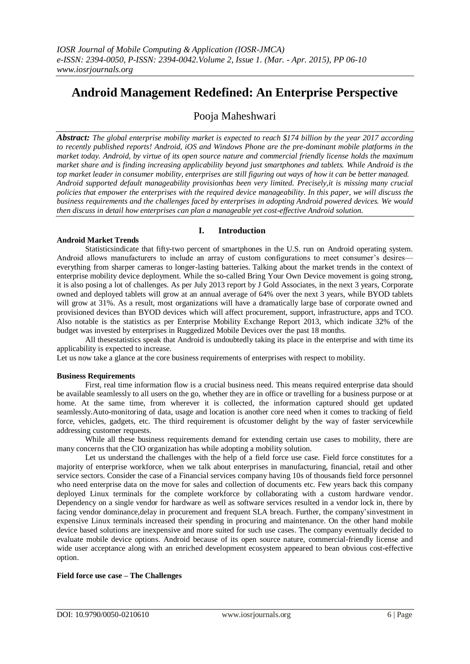# **Android Management Redefined: An Enterprise Perspective**

# Pooja Maheshwari

*Abstract: The global enterprise mobility market is expected to reach \$174 billion by the year 2017 according to recently published reports! Android, iOS and Windows Phone are the pre-dominant mobile platforms in the market today. Android, by virtue of its open source nature and commercial friendly license holds the maximum market share and is finding increasing applicability beyond just smartphones and tablets. While Android is the top market leader in consumer mobility, enterprises are still figuring out ways of how it can be better managed. Android supported default manageability provisionhas been very limited. Precisely,it is missing many crucial policies that empower the enterprises with the required device manageability. In this paper, we will discuss the business requirements and the challenges faced by enterprises in adopting Android powered devices. We would then discuss in detail how enterprises can plan a manageable yet cost-effective Android solution.*

**I. Introduction**

# **Android Market Trends**

## Statisticsindicate that fifty-two percent of smartphones in the U.S. run on Android operating system. Android allows manufacturers to include an array of custom configurations to meet consumer's desires everything from sharper cameras to longer-lasting batteries. Talking about the market trends in the context of enterprise mobility device deployment. While the so-called Bring Your Own Device movement is going strong, it is also posing a lot of challenges. As per July 2013 report by J Gold Associates, in the next 3 years, Corporate owned and deployed tablets will grow at an annual average of 64% over the next 3 years, while BYOD tablets will grow at 31%. As a result, most organizations will have a dramatically large base of corporate owned and provisioned devices than BYOD devices which will affect procurement, support, infrastructure, apps and TCO. Also notable is the statistics as per Enterprise Mobility Exchange Report 2013, which indicate 32% of the budget was invested by enterprises in Ruggedized Mobile Devices over the past 18 months.

All thesestatistics speak that Android is undoubtedly taking its place in the enterprise and with time its applicability is expected to increase.

Let us now take a glance at the core business requirements of enterprises with respect to mobility.

## **Business Requirements**

First, real time information flow is a crucial business need. This means required enterprise data should be available seamlessly to all users on the go, whether they are in office or travelling for a business purpose or at home. At the same time, from wherever it is collected, the information captured should get updated seamlessly.Auto-monitoring of data, usage and location is another core need when it comes to tracking of field force, vehicles, gadgets, etc. The third requirement is ofcustomer delight by the way of faster servicewhile addressing customer requests.

While all these business requirements demand for extending certain use cases to mobility, there are many concerns that the CIO organization has while adopting a mobility solution.

Let us understand the challenges with the help of a field force use case. Field force constitutes for a majority of enterprise workforce, when we talk about enterprises in manufacturing, financial, retail and other service sectors. Consider the case of a Financial services company having 10s of thousands field force personnel who need enterprise data on the move for sales and collection of documents etc. Few years back this company deployed Linux terminals for the complete workforce by collaborating with a custom hardware vendor. Dependency on a single vendor for hardware as well as software services resulted in a vendor lock in, there by facing vendor dominance,delay in procurement and frequent SLA breach. Further, the company'sinvestment in expensive Linux terminals increased their spending in procuring and maintenance. On the other hand mobile device based solutions are inexpensive and more suited for such use cases. The company eventually decided to evaluate mobile device options. Android because of its open source nature, commercial-friendly license and wide user acceptance along with an enriched development ecosystem appeared to bean obvious cost-effective option.

# **Field force use case – The Challenges**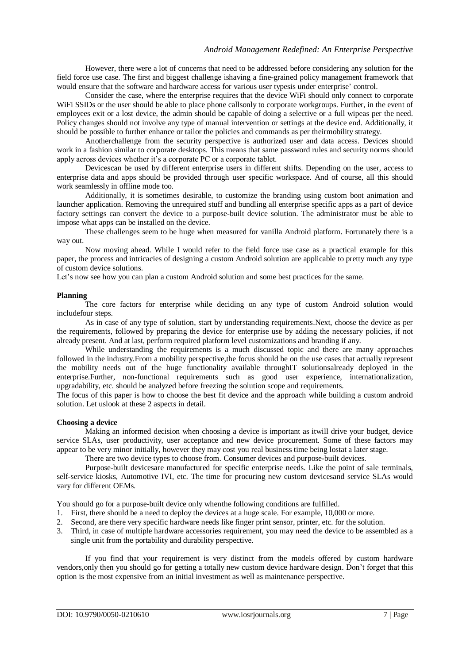However, there were a lot of concerns that need to be addressed before considering any solution for the field force use case. The first and biggest challenge ishaving a fine-grained policy management framework that would ensure that the software and hardware access for various user typesis under enterprise' control.

Consider the case, where the enterprise requires that the device WiFi should only connect to corporate WiFi SSIDs or the user should be able to place phone callsonly to corporate workgroups. Further, in the event of employees exit or a lost device, the admin should be capable of doing a selective or a full wipeas per the need. Policy changes should not involve any type of manual intervention or settings at the device end. Additionally, it should be possible to further enhance or tailor the policies and commands as per theirmobility strategy.

Anotherchallenge from the security perspective is authorized user and data access. Devices should work in a fashion similar to corporate desktops. This means that same password rules and security norms should apply across devices whether it's a corporate PC or a corporate tablet.

Devicescan be used by different enterprise users in different shifts. Depending on the user, access to enterprise data and apps should be provided through user specific workspace. And of course, all this should work seamlessly in offline mode too.

Additionally, it is sometimes desirable, to customize the branding using custom boot animation and launcher application. Removing the unrequired stuff and bundling all enterprise specific apps as a part of device factory settings can convert the device to a purpose-built device solution. The administrator must be able to impose what apps can be installed on the device.

These challenges seem to be huge when measured for vanilla Android platform. Fortunately there is a way out.

Now moving ahead. While I would refer to the field force use case as a practical example for this paper, the process and intricacies of designing a custom Android solution are applicable to pretty much any type of custom device solutions.

Let's now see how you can plan a custom Android solution and some best practices for the same.

## **Planning**

The core factors for enterprise while deciding on any type of custom Android solution would includefour steps.

As in case of any type of solution, start by understanding requirements.Next, choose the device as per the requirements, followed by preparing the device for enterprise use by adding the necessary policies, if not already present. And at last, perform required platform level customizations and branding if any.

While understanding the requirements is a much discussed topic and there are many approaches followed in the industry.From a mobility perspective,the focus should be on the use cases that actually represent the mobility needs out of the huge functionality available throughIT solutionsalready deployed in the enterprise.Further, non-functional requirements such as good user experience, internationalization, upgradability, etc. should be analyzed before freezing the solution scope and requirements.

The focus of this paper is how to choose the best fit device and the approach while building a custom android solution. Let uslook at these 2 aspects in detail.

## **Choosing a device**

Making an informed decision when choosing a device is important as itwill drive your budget, device service SLAs, user productivity, user acceptance and new device procurement. Some of these factors may appear to be very minor initially, however they may cost you real business time being lostat a later stage.

There are two device types to choose from. Consumer devices and purpose-built devices.

Purpose-built devicesare manufactured for specific enterprise needs. Like the point of sale terminals, self-service kiosks, Automotive IVI, etc. The time for procuring new custom devicesand service SLAs would vary for different OEMs.

You should go for a purpose-built device only whenthe following conditions are fulfilled.

- 1. First, there should be a need to deploy the devices at a huge scale. For example, 10,000 or more.
- 2. Second, are there very specific hardware needs like finger print sensor, printer, etc. for the solution.
- 3. Third, in case of multiple hardware accessories requirement, you may need the device to be assembled as a single unit from the portability and durability perspective.

If you find that your requirement is very distinct from the models offered by custom hardware vendors,only then you should go for getting a totally new custom device hardware design. Don't forget that this option is the most expensive from an initial investment as well as maintenance perspective.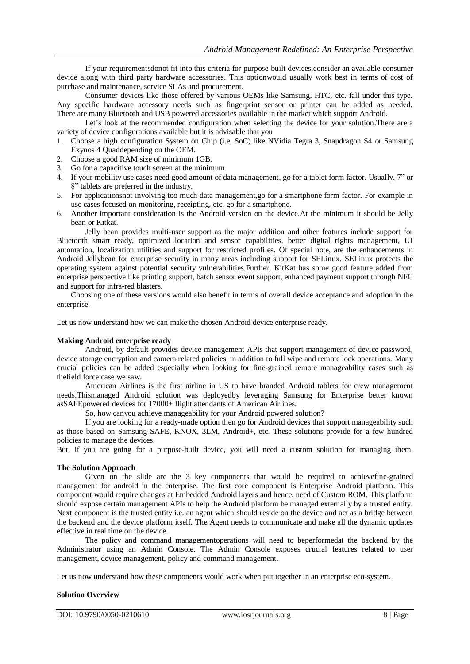If your requirementsdonot fit into this criteria for purpose-built devices,consider an available consumer device along with third party hardware accessories. This optionwould usually work best in terms of cost of purchase and maintenance, service SLAs and procurement.

Consumer devices like those offered by various OEMs like Samsung, HTC, etc. fall under this type. Any specific hardware accessory needs such as fingerprint sensor or printer can be added as needed. There are many Bluetooth and USB powered accessories available in the market which support Android.

Let's look at the recommended configuration when selecting the device for your solution.There are a variety of device configurations available but it is advisable that you

- 1. Choose a high configuration System on Chip (i.e. SoC) like NVidia Tegra 3, Snapdragon S4 or Samsung Exynos 4 Quaddepending on the OEM.
- 2. Choose a good RAM size of minimum 1GB.
- 3. Go for a capacitive touch screen at the minimum.
- 4. If your mobility use cases need good amount of data management, go for a tablet form factor. Usually, 7" or 8" tablets are preferred in the industry.
- 5. For applicationsnot involving too much data management,go for a smartphone form factor. For example in use cases focused on monitoring, receipting, etc. go for a smartphone.
- 6. Another important consideration is the Android version on the device.At the minimum it should be Jelly bean or Kitkat.

Jelly bean provides multi-user support as the major addition and other features include support for Bluetooth smart ready, optimized location and sensor capabilities, better digital rights management, UI automation, localization utilities and support for restricted profiles. Of special note, are the enhancements in Android Jellybean for enterprise security in many areas including support for SELinux. SELinux protects the operating system against potential security vulnerabilities.Further, KitKat has some good feature added from enterprise perspective like printing support, batch sensor event support, enhanced payment support through NFC and support for infra-red blasters.

Choosing one of these versions would also benefit in terms of overall device acceptance and adoption in the enterprise.

Let us now understand how we can make the chosen Android device enterprise ready.

#### **Making Android enterprise ready**

Android, by default provides device management APIs that support management of device password, device storage encryption and camera related policies, in addition to full wipe and remote lock operations. Many crucial policies can be added especially when looking for fine-grained remote manageability cases such as thefield force case we saw.

American Airlines is the first airline in US to have branded Android tablets for crew management needs.Thismanaged Android solution was deployedby leveraging Samsung for Enterprise better known asSAFEpowered devices for 17000+ flight attendants of American Airlines.

So, how canyou achieve manageability for your Android powered solution?

If you are looking for a ready-made option then go for Android devices that support manageability such as those based on Samsung SAFE, KNOX, 3LM, Android+, etc. These solutions provide for a few hundred policies to manage the devices.

But, if you are going for a purpose-built device, you will need a custom solution for managing them.

## **The Solution Approach**

Given on the slide are the 3 key components that would be required to achievefine-grained management for android in the enterprise. The first core component is Enterprise Android platform. This component would require changes at Embedded Android layers and hence, need of Custom ROM. This platform should expose certain management APIs to help the Android platform be managed externally by a trusted entity. Next component is the trusted entity i.e. an agent which should reside on the device and act as a bridge between the backend and the device platform itself. The Agent needs to communicate and make all the dynamic updates effective in real time on the device.

The policy and command managementoperations will need to beperformedat the backend by the Administrator using an Admin Console. The Admin Console exposes crucial features related to user management, device management, policy and command management.

Let us now understand how these components would work when put together in an enterprise eco-system.

#### **Solution Overview**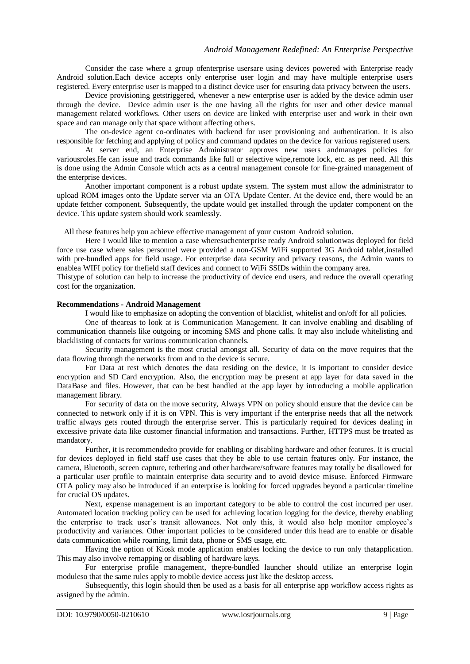Consider the case where a group ofenterprise usersare using devices powered with Enterprise ready Android solution.Each device accepts only enterprise user login and may have multiple enterprise users registered. Every enterprise user is mapped to a distinct device user for ensuring data privacy between the users.

Device provisioning getstriggered, whenever a new enterprise user is added by the device admin user through the device. Device admin user is the one having all the rights for user and other device manual management related workflows. Other users on device are linked with enterprise user and work in their own space and can manage only that space without affecting others.

The on-device agent co-ordinates with backend for user provisioning and authentication. It is also responsible for fetching and applying of policy and command updates on the device for various registered users.

At server end, an Enterprise Administrator approves new users andmanages policies for variousroles.He can issue and track commands like full or selective wipe,remote lock, etc. as per need. All this is done using the Admin Console which acts as a central management console for fine-grained management of the enterprise devices.

Another important component is a robust update system. The system must allow the administrator to upload ROM images onto the Update server via an OTA Update Center. At the device end, there would be an update fetcher component. Subsequently, the update would get installed through the updater component on the device. This update system should work seamlessly.

All these features help you achieve effective management of your custom Android solution.

Here I would like to mention a case wheresuchenterprise ready Android solutionwas deployed for field force use case where sales personnel were provided a non-GSM WiFi supported 3G Android tablet,installed with pre-bundled apps for field usage. For enterprise data security and privacy reasons, the Admin wants to enablea WIFI policy for thefield staff devices and connect to WiFi SSIDs within the company area.

Thistype of solution can help to increase the productivity of device end users, and reduce the overall operating cost for the organization.

#### **Recommendations - Android Management**

I would like to emphasize on adopting the convention of blacklist, whitelist and on/off for all policies.

One of theareas to look at is Communication Management. It can involve enabling and disabling of communication channels like outgoing or incoming SMS and phone calls. It may also include whitelisting and blacklisting of contacts for various communication channels.

Security management is the most crucial amongst all. Security of data on the move requires that the data flowing through the networks from and to the device is secure.

For Data at rest which denotes the data residing on the device, it is important to consider device encryption and SD Card encryption. Also, the encryption may be present at app layer for data saved in the DataBase and files. However, that can be best handled at the app layer by introducing a mobile application management library.

For security of data on the move security, Always VPN on policy should ensure that the device can be connected to network only if it is on VPN. This is very important if the enterprise needs that all the network traffic always gets routed through the enterprise server. This is particularly required for devices dealing in excessive private data like customer financial information and transactions. Further, HTTPS must be treated as mandatory.

Further, it is recommendedto provide for enabling or disabling hardware and other features. It is crucial for devices deployed in field staff use cases that they be able to use certain features only. For instance, the camera, Bluetooth, screen capture, tethering and other hardware/software features may totally be disallowed for a particular user profile to maintain enterprise data security and to avoid device misuse. Enforced Firmware OTA policy may also be introduced if an enterprise is looking for forced upgrades beyond a particular timeline for crucial OS updates.

Next, expense management is an important category to be able to control the cost incurred per user. Automated location tracking policy can be used for achieving location logging for the device, thereby enabling the enterprise to track user's transit allowances. Not only this, it would also help monitor employee's productivity and variances. Other important policies to be considered under this head are to enable or disable data communication while roaming, limit data, phone or SMS usage, etc.

Having the option of Kiosk mode application enables locking the device to run only thatapplication. This may also involve remapping or disabling of hardware keys.

For enterprise profile management, thepre-bundled launcher should utilize an enterprise login moduleso that the same rules apply to mobile device access just like the desktop access.

Subsequently, this login should then be used as a basis for all enterprise app workflow access rights as assigned by the admin.